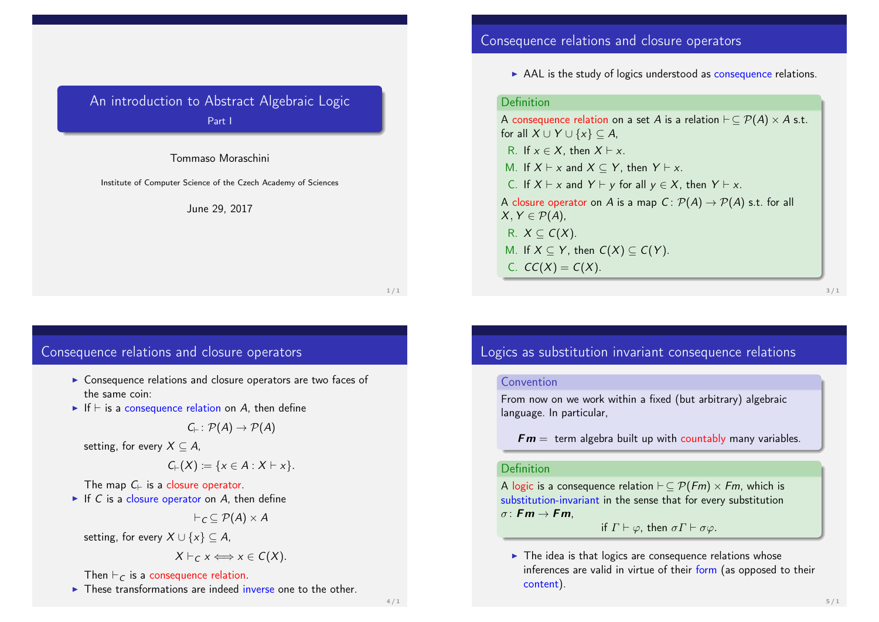# An introduction to Abstract Algebraic Logic Part I

#### Tommaso Moraschini

Institute of Computer Science of the Czech Academy of Sciences

#### June 29, 2017

#### $1/1$

# Consequence relations and closure operators

- $\triangleright$  Consequence relations and closure operators are two faces of the same coin:
- If  $\vdash$  is a consequence relation on A, then define

$$
C_{\vdash} \colon \mathcal{P}(A) \to \mathcal{P}(A)
$$

setting, for every  $X \subseteq A$ ,

$$
C_{\vdash}(X) := \{x \in A : X \vdash x\}.
$$

The map  $C_{\vdash}$  is a closure operator.

If C is a closure operator on A, then define

$$
\vdash_{\mathcal{C}} \subseteq \mathcal{P}(A) \times A
$$

setting, for every  $X \cup \{x\} \subseteq A$ ,

$$
X\vdash_C x \Longleftrightarrow x\in C(X).
$$

### Then  $\vdash_C$  is a consequence relation.

 $\triangleright$  These transformations are indeed inverse one to the other.

# Consequence relations and closure operators

 $\triangleright$  AAL is the study of logics understood as consequence relations.

### Definition

A consequence relation on a set A is a relation  $\vdash \subseteq \mathcal{P}(A) \times A$  s.t. for all  $X \cup Y \cup \{x\} \subseteq A$ , R. If  $x \in X$ , then  $X \vdash x$ . M. If  $X \vdash x$  and  $X \subseteq Y$ , then  $Y \vdash x$ . C. If  $X \vdash x$  and  $Y \vdash y$  for all  $y \in X$ , then  $Y \vdash x$ . A closure operator on A is a map  $C: \mathcal{P}(A) \to \mathcal{P}(A)$  s.t. for all  $X, Y \in \mathcal{P}(A)$ , R.  $X \subseteq C(X)$ . M. If  $X \subseteq Y$ , then  $C(X) \subseteq C(Y)$ . C.  $CC(X) = C(X)$ .

3 / 1

# Logics as substitution invariant consequence relations

#### **Convention**

From now on we work within a fixed (but arbitrary) algebraic language. In particular,

 $Fm =$  term algebra built up with countably many variables.

#### Definition

A logic is a consequence relation  $\vdash \subseteq \mathcal{P}(Fm) \times Fm$ , which is substitution-invariant in the sense that for every substitution  $\sigma$ : **Fm**  $\rightarrow$  **Fm**.

if  $\Gamma \vdash \varphi$ , then  $\sigma \Gamma \vdash \sigma \varphi$ .

 $\blacktriangleright$  The idea is that logics are consequence relations whose inferences are valid in virtue of their form (as opposed to their content).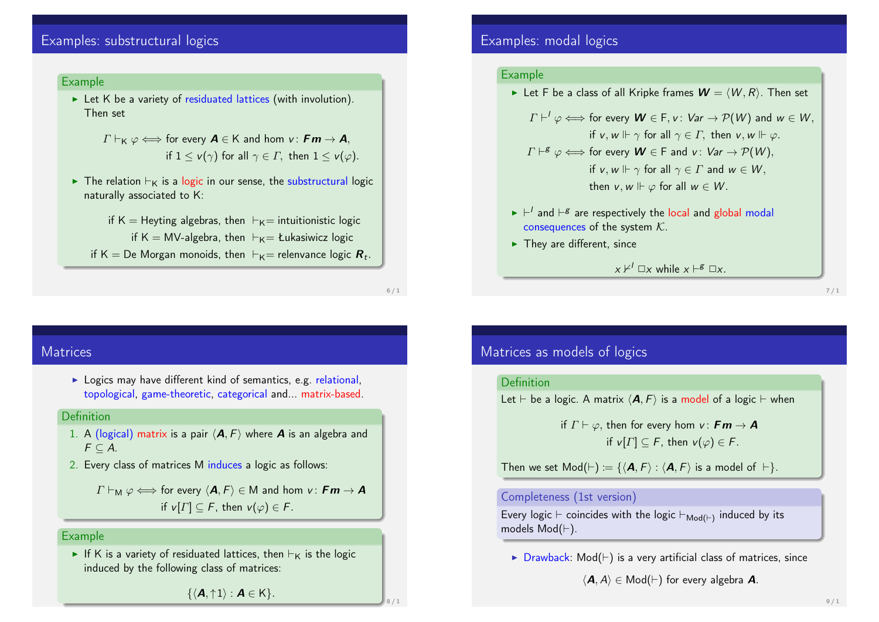# Examples: substructural logics

#### Example

 $\triangleright$  Let K be a variety of residuated lattices (with involution). Then set

$$
\Gamma \vdash_{\mathsf{K}} \varphi \Longleftrightarrow \text{ for every } \mathsf{A} \in \mathsf{K} \text{ and hom } \mathsf{v}: \mathsf{Fm} \to \mathsf{A},
$$
\n
$$
\text{if } 1 \leq \mathsf{v}(\gamma) \text{ for all } \gamma \in \Gamma, \text{ then } 1 \leq \mathsf{v}(\varphi).
$$

- $\triangleright$  The relation  $\vdash_K$  is a logic in our sense, the substructural logic naturally associated to K:
	- if K = Heyting algebras, then  $\vdash_K=$  intuitionistic logic if K = MV-algebra, then  $\vdash_K$   $\equiv$  Łukasiwicz logic
	- if K  $=$  De Morgan monoids, then  $\mathrel{\vdash}_\mathsf{K}=$  relenvance logic  $\bm{R}_t.$

6 / 1

8 / 1

### **Matrices**

 $\triangleright$  Logics may have different kind of semantics, e.g. relational, topological, game-theoretic, categorical and... matrix-based.

#### Definition

- 1. A (logical) matrix is a pair  $\langle A, F \rangle$  where **A** is an algebra and  $F \subseteq A$ .
- 2. Every class of matrices M induces a logic as follows:

 $\Gamma \vdash_M \varphi \Longleftrightarrow$  for every  $\langle A, F \rangle \in M$  and hom  $v : Fm \rightarrow A$ if  $v[\Gamma] \subseteq F$ , then  $v(\varphi) \in F$ .

### Example

If K is a variety of residuated lattices, then  $\vdash_K$  is the logic induced by the following class of matrices:

Examples: modal logics

#### Example

Let F be a class of all Kripke frames  $W = \langle W, R \rangle$ . Then set

$$
\Gamma \vdash^l \varphi \Longleftrightarrow \text{ for every } \mathbf{W} \in \mathsf{F}, \mathsf{v}: \mathsf{Var} \to \mathcal{P}(\mathsf{W}) \text{ and } \mathsf{w} \in \mathsf{W},
$$
\n
$$
\text{if } \mathsf{v}, \mathsf{w} \Vdash \gamma \text{ for all } \gamma \in \Gamma, \text{ then } \mathsf{v}, \mathsf{w} \Vdash \varphi.
$$
\n
$$
\Gamma \vdash^g \varphi \Longleftrightarrow \text{ for every } \mathbf{W} \in \mathsf{F} \text{ and } \mathsf{v}: \mathsf{Var} \to \mathcal{P}(\mathsf{W}),
$$
\n
$$
\text{if } \mathsf{v}, \mathsf{w} \Vdash \gamma \text{ for all } \gamma \in \Gamma \text{ and } \mathsf{w} \in \mathsf{W},
$$
\n
$$
\text{then } \mathsf{v}, \mathsf{w} \Vdash \varphi \text{ for all } \mathsf{w} \in \mathsf{W}.
$$

- $\blacktriangleright$   $\vdash'$  and  $\vdash^g$  are respectively the local and global modal consequences of the system  $K$ .
- $\blacktriangleright$  They are different, since

 $x \nvDash^{l} \Box x$  while  $x \vdash^{g} \Box x$ .

7 / 1

### Matrices as models of logics

#### Definition

Let  $\vdash$  be a logic. A matrix  $\langle \mathbf{A}, F \rangle$  is a model of a logic  $\vdash$  when

if  $\Gamma \vdash \varphi$ , then for every hom  $v : \mathbf{Fm} \to \mathbf{A}$ if  $v[T] \subseteq F$ , then  $v(\varphi) \in F$ .

Then we set  $Mod(F) := \{ \langle \mathbf{A}, F \rangle : \langle \mathbf{A}, F \rangle$  is a model of  $\vdash \}$ .

#### Completeness (1st version)

Every logic  $\vdash$  coincides with the logic  $\vdash_{\mathsf{Mod}(\vdash)}$  induced by its models  $Mod(F)$ .

 $\triangleright$  Drawback: Mod( $\vdash$ ) is a very artificial class of matrices, since

 $\langle A, A \rangle \in Mod(\vdash)$  for every algebra A.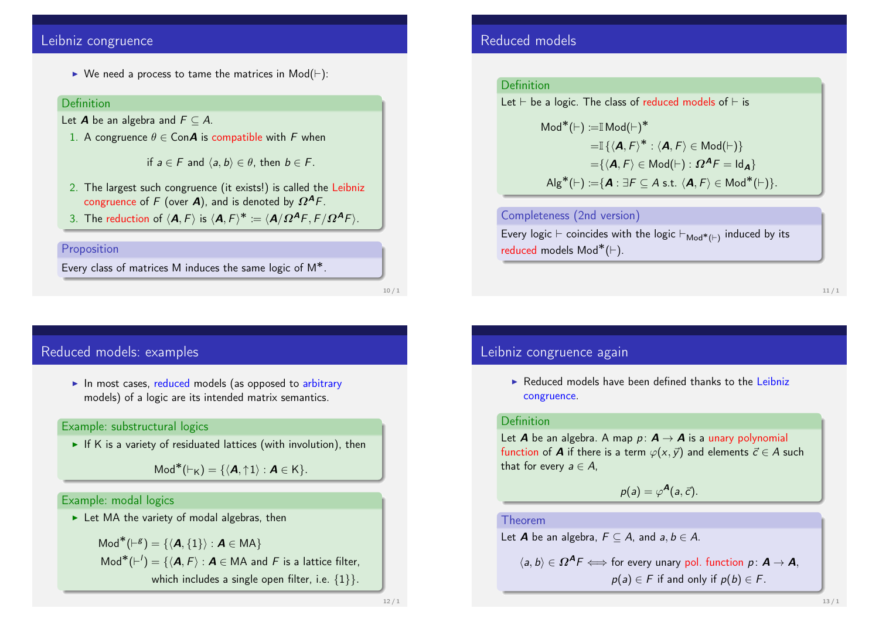### Leibniz congruence

 $\triangleright$  We need a process to tame the matrices in Mod( $\vdash$ ):

#### **Definition**

- Let **A** be an algebra and  $F \subset A$ .
	- 1. A congruence  $\theta \in \mathsf{Con}\mathcal{A}$  is compatible with F when

if  $a \in F$  and  $\langle a, b \rangle \in \theta$ , then  $b \in F$ .

- 2. The largest such congruence (it exists!) is called the Leibniz congruence of F (over **A**), and is denoted by  $\Omega^{A}F$ .
- 3. The reduction of  $\langle \mathbf{A}, F \rangle$  is  $\langle \mathbf{A}, F \rangle^* \coloneqq \langle \mathbf{A}/\Omega^{\mathbf{A}} F, F/\Omega^{\mathbf{A}} F \rangle$ .

#### Proposition

Every class of matrices M induces the same logic of M∗.

10 / 1

# Reduced models: examples

 $\blacktriangleright$  In most cases, reduced models (as opposed to arbitrary models) of a logic are its intended matrix semantics.

### Example: substructural logics

If K is a variety of residuated lattices (with involution), then

 $\mathsf{Mod}^*(\vdash_{\mathsf{K}}) = \{ \langle \mathbf{A}, \uparrow 1 \rangle : \mathbf{A} \in \mathsf{K} \}.$ 

### Example: modal logics

 $\blacktriangleright$  Let MA the variety of modal algebras, then

 $\mathsf{Mod}^*(\vdash^g) = \{ \langle \mathbf{A}, \{1\} \rangle : \mathbf{A} \in \mathsf{MA} \}$  $\text{Mod}^*(\vdash') = \{ \langle \mathbf{A}, F \rangle : \mathbf{A} \in \mathsf{MA} \text{ and } F \text{ is a lattice filter}, \}$ which includes a single open filter, i.e.  $\{1\}$ .

### Reduced models

#### Definition

Let  $\vdash$  be a logic. The class of reduced models of  $\vdash$  is

 $Mod^*(\vdash) \coloneqq \mathbb{I} \mathsf{Mod}(\vdash)^*$  $=\mathbb{I}\left\{ \left\langle \mathbf{A},F\right\rangle ^{\ast}:\left\langle \mathbf{A},F\right\rangle \in\mathsf{Mod}(\vdash)\right\}$  $=\{\langle A, F\rangle \in \mathsf{Mod}(\vdash) : \Omega^{\mathsf{A}} F = \mathsf{Id}_{\mathsf{A}}\}$  $\mathsf{Alg}^*(\vdash) \coloneqq \{ \mathbf{A} : \exists F \subseteq A \text{ s.t. } \langle \mathbf{A}, F \rangle \in \mathsf{Mod}^*(\vdash) \}.$ 

### Completeness (2nd version)

Every logic  $\vdash$  coincides with the logic  $\vdash_{\mathsf{Mod}^*(\vdash)}$  induced by its reduced models  $\mathsf{Mod}^*(\vdash).$ 

#### 11 / 1

### Leibniz congruence again

▶ Reduced models have been defined thanks to the Leibniz congruence.

### Definition

Let **A** be an algebra. A map  $p: A \rightarrow A$  is a unary polynomial function of **A** if there is a term  $\varphi(x, \vec{y})$  and elements  $\vec{c} \in A$  such that for every  $a \in A$ ,

 $p(a) = \varphi^{\mathbf{A}}(a, \vec{c}).$ 

#### Theorem

Let **A** be an algebra,  $F \subseteq A$ , and  $a, b \in A$ .

 $\langle a, b \rangle \in \Omega^{\mathcal{A}} F \Longleftrightarrow$  for every unary pol. function  $p: \mathcal{A} \rightarrow \mathcal{A}$ .  $p(a) \in F$  if and only if  $p(b) \in F$ .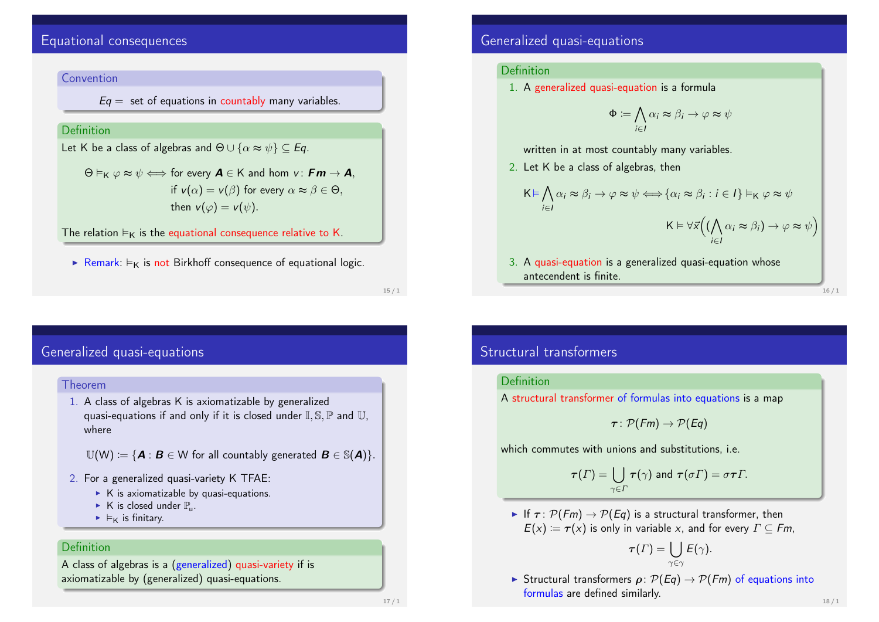# Equational consequences

### Convention

 $Eq =$  set of equations in countably many variables.

### Definition

Let K be a class of algebras and  $\Theta \cup {\alpha \approx \psi} \subset Eq.$ 

 $\Theta \vDash_{\mathsf{K}} \varphi \approx \psi \Longleftrightarrow$  for every  $\mathsf{A} \in \mathsf{K}$  and hom  $v : \mathsf{Fm} \rightarrow \mathsf{A}$ , if  $v(\alpha) = v(\beta)$  for every  $\alpha \approx \beta \in \Theta$ , then  $v(\varphi) = v(\psi)$ .

The relation  $\models_K$  is the equational consequence relative to K.

Remark:  $\models$ <sub>K</sub> is not Birkhoff consequence of equational logic.

15 / 1

## Generalized quasi-equations

#### Theorem

1. A class of algebras K is axiomatizable by generalized quasi-equations if and only if it is closed under  $\mathbb{I}$ ,  $\mathbb{S}$ ,  $\mathbb{P}$  and  $\mathbb{U}$ . where

 $\mathbb{U}(\mathsf{W}) := \{ \boldsymbol{A} : \boldsymbol{B} \in \mathbb{W} \text{ for all countably generated } \boldsymbol{B} \in \mathbb{S}(\boldsymbol{A}) \}.$ 

- 2. For a generalized quasi-variety K TFAE:
	- $\triangleright$  K is axiomatizable by quasi-equations.
	- $\blacktriangleright$  K is closed under  $\mathbb{P}_{u}$ .
	- $\blacktriangleright$   $\models$ <sub>K</sub> is finitary.

### Definition

A class of algebras is a (generalized) quasi-variety if is axiomatizable by (generalized) quasi-equations.

## Generalized quasi-equations

### Definition

1. A generalized quasi-equation is a formula

$$
\Phi := \bigwedge_{i \in I} \alpha_i \approx \beta_i \to \varphi \approx \psi
$$

written in at most countably many variables.

2. Let K be a class of algebras, then

$$
K \vDash \bigwedge_{i \in I} \alpha_i \approx \beta_i \rightarrow \varphi \approx \psi \Longleftrightarrow \{\alpha_i \approx \beta_i : i \in I\} \vDash_{K} \varphi \approx \psi
$$

$$
K \vDash \forall \overline{x} \Big( (\bigwedge_{i \in I} \alpha_i \approx \beta_i) \rightarrow \varphi \approx \psi \Big)
$$

3. A quasi-equation is a generalized quasi-equation whose antecendent is finite.

16 / 1

# Structural transformers

#### Definition

A structural transformer of formulas into equations is a map

$$
\tau\colon \mathcal{P}(Fm)\to \mathcal{P}(Eq)
$$

which commutes with unions and substitutions, *i.e.* 

$$
\tau(\Gamma)=\bigcup_{\gamma\in\Gamma}\tau(\gamma)\text{ and }\tau(\sigma\Gamma)=\sigma\tau\Gamma.
$$

If  $\tau$ :  $\mathcal{P}(Fm) \rightarrow \mathcal{P}(Eq)$  is a structural transformer, then  $E(x) = \tau(x)$  is only in variable x, and for every  $\Gamma \subseteq Fm$ ,

$$
\boldsymbol{\tau}(\boldsymbol{\varGamma}) = \bigcup_{\gamma \in \gamma} \boldsymbol{\varGamma}(\gamma).
$$

Structural transformers  $\rho: \mathcal{P}(Eq) \to \mathcal{P}(Fm)$  of equations into formulas are defined similarly.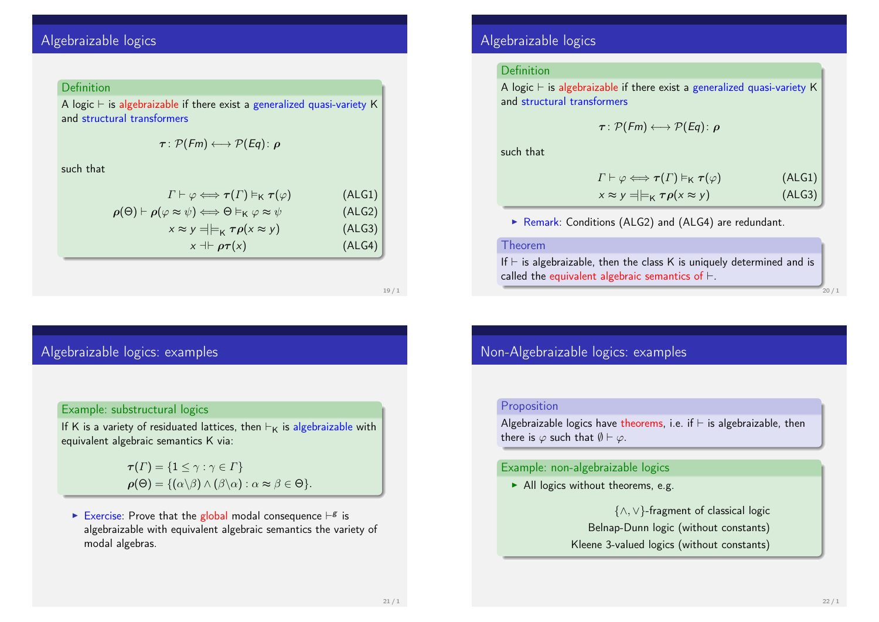# Algebraizable logics

#### **Definition**

A logic  $\vdash$  is algebraizable if there exist a generalized quasi-variety K and structural transformers

$$
\tau\colon \mathcal{P}(Fm)\longleftrightarrow \mathcal{P}(Eq)\colon \bm{\rho}
$$

such that

| $\Gamma\vdash\varphi\Longleftrightarrow\tau(\Gamma)\vDash_{\mathsf{K}}\tau(\varphi)$                                 | (ALG1) |
|----------------------------------------------------------------------------------------------------------------------|--------|
| $\rho(\Theta) \vdash \rho(\varphi \approx \psi) \Longleftrightarrow \Theta \vDash_{\mathsf{K}} \varphi \approx \psi$ | (ALG2) |
| $x \approx y = \models_K \tau \rho(x \approx y)$                                                                     | (ALG3) |
| $x \dashv \vdash \rho \tau(x)$                                                                                       | (ALG4) |

19 / 1

# Algebraizable logics: examples

### Example: substructural logics

If K is a variety of residuated lattices, then  $\vdash_K$  is algebraizable with equivalent algebraic semantics K via:

> $\tau(\Gamma) = \{1 \leq \gamma : \gamma \in \Gamma\}$  $\rho(\Theta) = \{(\alpha \backslash \beta) \wedge (\beta \backslash \alpha) : \alpha \approx \beta \in \Theta\}.$

Exercise: Prove that the global modal consequence  $\vdash^g$  is algebraizable with equivalent algebraic semantics the variety of modal algebras.

## Algebraizable logics

### Definition

A logic  $\vdash$  is algebraizable if there exist a generalized quasi-variety K and structural transformers

$$
\tau: \mathcal{P}(Fm) \longleftrightarrow \mathcal{P}(Eq): \rho
$$

such that

$$
\Gamma \vdash \varphi \Longleftrightarrow \tau(\Gamma) \vDash_{\mathsf{K}} \tau(\varphi) \qquad \qquad \text{(ALG1)}
$$
\n
$$
x \approx y \preceq \vDash_{\mathsf{K}} \tau\rho(x \approx y) \qquad \qquad \text{(ALG3)}
$$

 $\triangleright$  Remark: Conditions (ALG2) and (ALG4) are redundant.

#### Theorem

If  $\vdash$  is algebraizable, then the class K is uniquely determined and is called the equivalent algebraic semantics of  $\vdash$ .

 $20/1$ 

## Non-Algebraizable logics: examples

#### Proposition

Algebraizable logics have theorems, i.e. if  $\vdash$  is algebraizable, then there is  $\varphi$  such that  $\emptyset \vdash \varphi$ .

#### Example: non-algebraizable logics

 $\blacktriangleright$  All logics without theorems, e.g.

{∧, ∨}-fragment of classical logic Belnap-Dunn logic (without constants) Kleene 3-valued logics (without constants)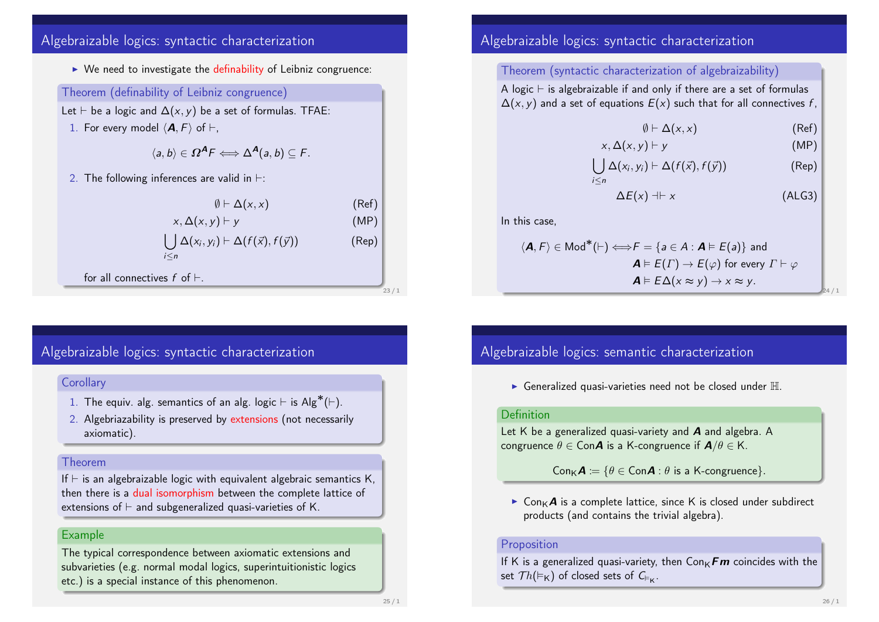# Algebraizable logics: syntactic characterization

 $\triangleright$  We need to investigate the definability of Leibniz congruence: Theorem (definability of Leibniz congruence) Let  $\vdash$  be a logic and  $\Delta(x, y)$  be a set of formulas. TFAE: 1. For every model  $\langle \mathbf{A}, F \rangle$  of  $\vdash$ ,  $\langle a, b \rangle \in \Omega^A F \Longleftrightarrow \Delta^A(a, b) \subseteq F.$ 2. The following inferences are valid in  $\vdash$ :  $\emptyset \vdash \Delta(x, x)$  (Ref)  $x, \Delta(x, y) \vdash y$  (MP)  $\bigcup \Delta(x_i, y_i) \vdash \Delta(f(\vec{x}), f(\vec{y}))$  (Rep) i≤n for all connectives  $f$  of  $\vdash$ .

# Algebraizable logics: syntactic characterization

### **Corollary**

- 1. The equiv. alg. semantics of an alg. logic  $\vdash$  is Alg\*( $\vdash$ ).
- 2. Algebriazability is preserved by extensions (not necessarily axiomatic).

### Theorem

If  $\vdash$  is an algebraizable logic with equivalent algebraic semantics K, then there is a dual isomorphism between the complete lattice of extensions of  $\vdash$  and subgeneralized quasi-varieties of K.

### Example

The typical correspondence between axiomatic extensions and subvarieties (e.g. normal modal logics, superintuitionistic logics etc.) is a special instance of this phenomenon.

# Algebraizable logics: syntactic characterization

### Theorem (syntactic characterization of algebraizability)

A logic  $\vdash$  is algebraizable if and only if there are a set of formulas  $\Delta(x, y)$  and a set of equations  $E(x)$  such that for all connectives f,

$$
\emptyset \vdash \Delta(x, x) \tag{Ref}
$$

$$
x, \Delta(x, y) \vdash y \tag{MP}
$$

$$
\bigcup_{i\leq n}\Delta(x_i,y_i)\vdash \Delta(f(\vec{x}),f(\vec{y}))
$$
 (Rep)

$$
\Delta E(x) \dashv \vdash x \tag{ALG3}
$$

In this case,

$$
\langle \mathbf{A}, F \rangle \in \text{Mod}^*(\vdash) \Longleftrightarrow F = \{ a \in A : \mathbf{A} \vDash E(a) \} \text{ and}
$$

$$
\mathbf{A} \vDash E(\Gamma) \rightarrow E(\varphi) \text{ for every } \Gamma \vdash \varphi
$$

$$
\mathbf{A} \vDash E\Delta(x \approx y) \rightarrow x \approx y.
$$

Algebraizable logics: semantic characterization

 $\blacktriangleright$  Generalized quasi-varieties need not be closed under  $\mathbb H$ .

#### Definition

Let K be a generalized quasi-variety and **A** and algebra. A congruence  $\theta \in \mathsf{Con}\mathbf{A}$  is a K-congruence if  $\mathbf{A}/\theta \in \mathsf{K}$ .

 $Con_{\mathsf{K}}\mathsf{A} := \{ \theta \in Con\mathsf{A} : \theta \text{ is a K-congruence} \}.$ 

 $\triangleright$  Con<sub>K</sub>A is a complete lattice, since K is closed under subdirect products (and contains the trivial algebra).

### Proposition

If K is a generalized quasi-variety, then  $Conv\,F\,m$  coincides with the set  $\mathcal{T}h(\vDash_{\mathsf{K}})$  of closed sets of  $\mathsf{C}_{\vDash_{\mathsf{K}}}.$ 

23 / 1

24 / 1